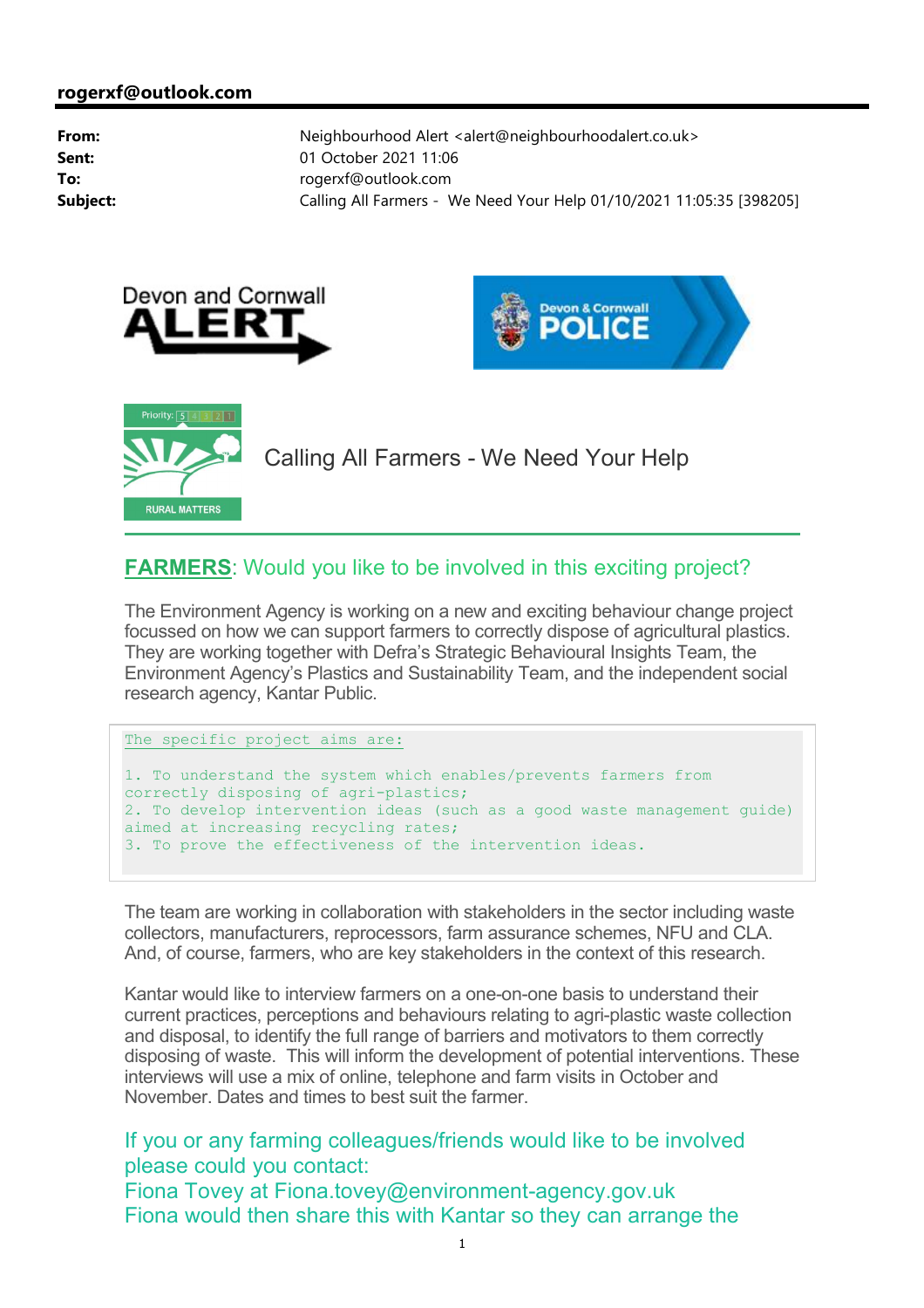





Calling All Farmers - We Need Your Help

## **FARMERS**: Would you like to be involved in this exciting project?

The Environment Agency is working on a new and exciting behaviour change project focussed on how we can support farmers to correctly dispose of agricultural plastics. They are working together with Defra's Strategic Behavioural Insights Team, the Environment Agency's Plastics and Sustainability Team, and the independent social research agency, Kantar Public.

```
The specific project aims are:
```

```
1. To understand the system which enables/prevents farmers from 
correctly disposing of agri-plastics;
2. To develop intervention ideas (such as a good waste management guide) 
aimed at increasing recycling rates;
3. To prove the effectiveness of the intervention ideas.
```
The team are working in collaboration with stakeholders in the sector including waste collectors, manufacturers, reprocessors, farm assurance schemes, NFU and CLA. And, of course, farmers, who are key stakeholders in the context of this research.

Kantar would like to interview farmers on a one-on-one basis to understand their current practices, perceptions and behaviours relating to agri-plastic waste collection and disposal, to identify the full range of barriers and motivators to them correctly disposing of waste. This will inform the development of potential interventions. These interviews will use a mix of online, telephone and farm visits in October and November. Dates and times to best suit the farmer.

If you or any farming colleagues/friends would like to be involved please could you contact: Fiona Tovey at Fiona.tovey@environment-agency.gov.uk Fiona would then share this with Kantar so they can arrange the